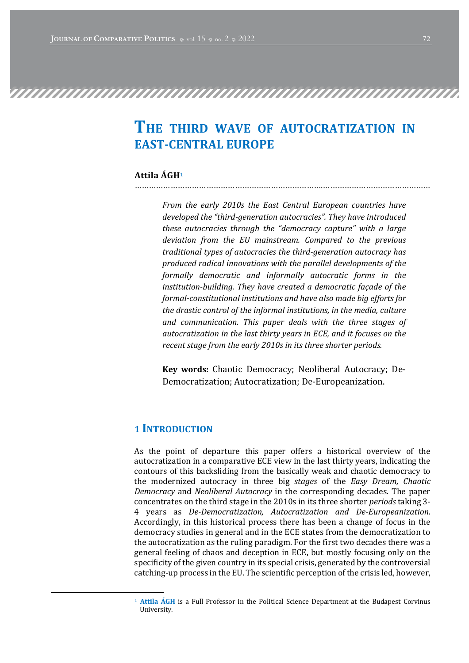# THE THIRD WAVE OF AUTOCRATIZATION IN EAST-CENTRAL EUROPE

#### Attila ÁGH1 …………………………………………………………………….………………………………………

From the early 2010s the East Central European countries have developed the "third-generation autocracies". They have introduced these autocracies through the "democracy capture" with a large deviation from the EU mainstream. Compared to the previous traditional types of autocracies the third-generation autocracy has produced radical innovations with the parallel developments of the formally democratic and informally autocratic forms in the institution-building. They have created a democratic façade of the formal-constitutional institutions and have also made big efforts for the drastic control of the informal institutions, in the media, culture and communication. This paper deals with the three stages of autocratization in the last thirty years in ECE, and it focuses on the recent stage from the early 2010s in its three shorter periods.

Key words: Chaotic Democracy; Neoliberal Autocracy; De-Democratization; Autocratization; De-Europeanization.

#### 1 **INTRODUCTION**

As the point of departure this paper offers a historical overview of the autocratization in a comparative ECE view in the last thirty years, indicating the contours of this backsliding from the basically weak and chaotic democracy to the modernized autocracy in three big *stages* of the *Easy Dream, Chaotic* Democracy and Neoliberal Autocracy in the corresponding decades. The paper concentrates on the third stage in the 2010s in its three shorter *periods* taking 3-4 years as De-Democratization, Autocratization and De-Europeanization. Accordingly, in this historical process there has been a change of focus in the democracy studies in general and in the ECE states from the democratization to the autocratization as the ruling paradigm. For the first two decades there was a general feeling of chaos and deception in ECE, but mostly focusing only on the specificity of the given country in its special crisis, generated by the controversial catching-up process in the EU. The scientific perception of the crisis led, however,

 $1$  Attila ÁGH is a Full Professor in the Political Science Department at the Budapest Corvinus University.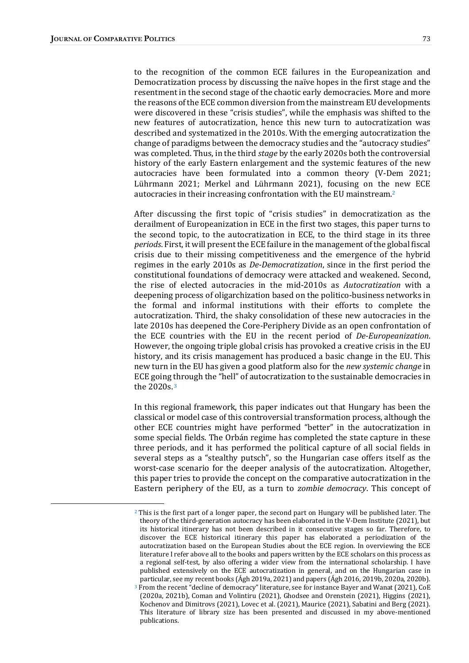to the recognition of the common ECE failures in the Europeanization and Democratization process by discussing the naïve hopes in the first stage and the resentment in the second stage of the chaotic early democracies. More and more the reasons of the ECE common diversion from the mainstream EU developments were discovered in these "crisis studies", while the emphasis was shifted to the new features of autocratization, hence this new turn to autocratization was described and systematized in the 2010s. With the emerging autocratization the change of paradigms between the democracy studies and the "autocracy studies" was completed. Thus, in the third stage by the early 2020s both the controversial history of the early Eastern enlargement and the systemic features of the new autocracies have been formulated into a common theory (V-Dem 2021; Lührmann 2021; Merkel and Lührmann 2021), focusing on the new ECE autocracies in their increasing confrontation with the EU mainstream.<sup>2</sup>

After discussing the first topic of "crisis studies" in democratization as the derailment of Europeanization in ECE in the first two stages, this paper turns to the second topic, to the autocratization in ECE, to the third stage in its three periods. First, it will present the ECE failure in the management of the global fiscal crisis due to their missing competitiveness and the emergence of the hybrid regimes in the early 2010s as *De-Democratization*, since in the first period the constitutional foundations of democracy were attacked and weakened. Second, the rise of elected autocracies in the mid-2010s as *Autocratization* with a deepening process of oligarchization based on the politico-business networks in the formal and informal institutions with their efforts to complete the autocratization. Third, the shaky consolidation of these new autocracies in the late 2010s has deepened the Core-Periphery Divide as an open confrontation of the ECE countries with the EU in the recent period of *De-Europeanization*. However, the ongoing triple global crisis has provoked a creative crisis in the EU history, and its crisis management has produced a basic change in the EU. This new turn in the EU has given a good platform also for the *new systemic change* in ECE going through the "hell" of autocratization to the sustainable democracies in the 2020s.<sup>3</sup>

In this regional framework, this paper indicates out that Hungary has been the classical or model case of this controversial transformation process, although the other ECE countries might have performed "better" in the autocratization in some special fields. The Orbán regime has completed the state capture in these three periods, and it has performed the political capture of all social fields in several steps as a "stealthy putsch", so the Hungarian case offers itself as the worst-case scenario for the deeper analysis of the autocratization. Altogether, this paper tries to provide the concept on the comparative autocratization in the Eastern periphery of the EU, as a turn to zombie democracy. This concept of

 $2$  This is the first part of a longer paper, the second part on Hungary will be published later. The theory of the third-generation autocracy has been elaborated in the V-Dem Institute (2021), but its historical itinerary has not been described in it consecutive stages so far. Therefore, to discover the ECE historical itinerary this paper has elaborated a periodization of the autocratization based on the European Studies about the ECE region. In overviewing the ECE literature I refer above all to the books and papers written by the ECE scholars on this process as a regional self-test, by also offering a wider view from the international scholarship. I have published extensively on the ECE autocratization in general, and on the Hungarian case in particular, see my recent books (Agh 2019a, 2021) and papers (Agh 2016, 2019b, 2020a, 2020b). <sup>3</sup> From the recent "decline of democracy" literature, see for instance Bayer and Wanat (2021), CoE

 $(2020a, 2021b)$ , Coman and Volintiru  $(2021)$ , Ghodsee and Orenstein  $(2021)$ , Higgins  $(2021)$ , Kochenov and Dimitrovs (2021), Lovec et al. (2021), Maurice (2021), Sabatini and Berg (2021). This literature of library size has been presented and discussed in my above-mentioned publications.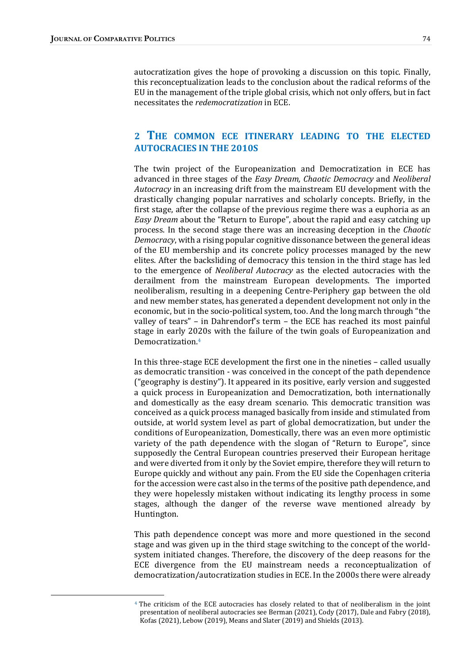autocratization gives the hope of provoking a discussion on this topic. Finally, this reconceptualization leads to the conclusion about the radical reforms of the EU in the management of the triple global crisis, which not only offers, but in fact necessitates the *redemocratization* in ECE.

#### 2 THE COMMON ECE ITINERARY LEADING TO THE ELECTED **AUTOCRACIES IN THE 2010S**

The twin project of the Europeanization and Democratization in ECE has advanced in three stages of the Easy Dream, Chaotic Democracy and Neoliberal Autocracy in an increasing drift from the mainstream EU development with the drastically changing popular narratives and scholarly concepts. Briefly, in the first stage, after the collapse of the previous regime there was a euphoria as an Easy Dream about the "Return to Europe", about the rapid and easy catching up process. In the second stage there was an increasing deception in the *Chaotic* Democracy, with a rising popular cognitive dissonance between the general ideas of the EU membership and its concrete policy processes managed by the new elites. After the backsliding of democracy this tension in the third stage has led to the emergence of Neoliberal Autocracy as the elected autocracies with the derailment from the mainstream European developments. The imported neoliberalism, resulting in a deepening Centre-Periphery gap between the old and new member states, has generated a dependent development not only in the economic, but in the socio-political system, too. And the long march through "the valley of tears" - in Dahrendorf's term - the ECE has reached its most painful stage in early 2020s with the failure of the twin goals of Europeanization and Democratization.4

In this three-stage ECE development the first one in the nineties – called usually as democratic transition - was conceived in the concept of the path dependence  $("geography is density").$  It appeared in its positive, early version and suggested a quick process in Europeanization and Democratization, both internationally and domestically as the easy dream scenario. This democratic transition was conceived as a quick process managed basically from inside and stimulated from outside, at world system level as part of global democratization, but under the conditions of Europeanization, Domestically, there was an even more optimistic variety of the path dependence with the slogan of "Return to Europe", since supposedly the Central European countries preserved their European heritage and were diverted from it only by the Soviet empire, therefore they will return to Europe quickly and without any pain. From the EU side the Copenhagen criteria for the accession were cast also in the terms of the positive path dependence, and they were hopelessly mistaken without indicating its lengthy process in some stages, although the danger of the reverse wave mentioned already by Huntington.

This path dependence concept was more and more questioned in the second stage and was given up in the third stage switching to the concept of the worldsystem initiated changes. Therefore, the discovery of the deep reasons for the ECE divergence from the EU mainstream needs a reconceptualization of democratization/autocratization studies in ECE. In the 2000s there were already

<sup>&</sup>lt;sup>4</sup> The criticism of the ECE autocracies has closely related to that of neoliberalism in the joint presentation of neoliberal autocracies see Berman (2021), Cody (2017), Dale and Fabry (2018), Kofas (2021), Lebow (2019), Means and Slater (2019) and Shields (2013).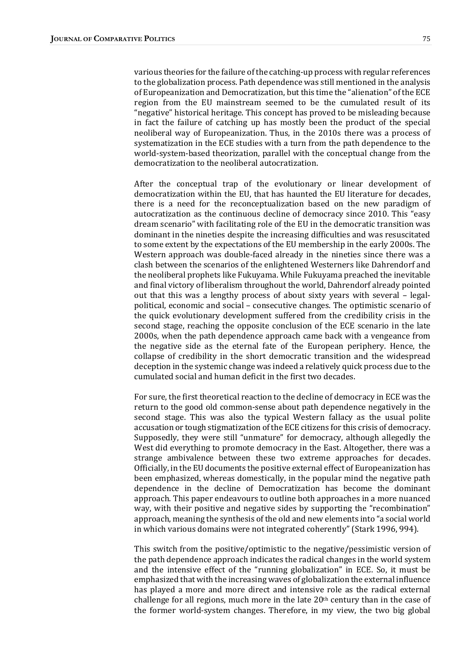various theories for the failure of the catching-up process with regular references to the globalization process. Path dependence was still mentioned in the analysis of Europeanization and Democratization, but this time the "alienation" of the ECE region from the EU mainstream seemed to be the cumulated result of its " negative" historical heritage. This concept has proved to be misleading because in fact the failure of catching up has mostly been the product of the special neoliberal way of Europeanization. Thus, in the 2010s there was a process of systematization in the ECE studies with a turn from the path dependence to the world-system-based theorization, parallel with the conceptual change from the democratization to the neoliberal autocratization.

After the conceptual trap of the evolutionary or linear development of democratization within the EU, that has haunted the EU literature for decades, there is a need for the reconceptualization based on the new paradigm of autocratization as the continuous decline of democracy since 2010. This "easy dream scenario" with facilitating role of the EU in the democratic transition was dominant in the nineties despite the increasing difficulties and was resuscitated to some extent by the expectations of the EU membership in the early 2000s. The Western approach was double-faced already in the nineties since there was a clash between the scenarios of the enlightened Westerners like Dahrendorf and the neoliberal prophets like Fukuyama. While Fukuyama preached the inevitable and final victory of liberalism throughout the world, Dahrendorf already pointed out that this was a lengthy process of about sixty years with several  $-$  legalpolitical, economic and social - consecutive changes. The optimistic scenario of the quick evolutionary development suffered from the credibility crisis in the second stage, reaching the opposite conclusion of the ECE scenario in the late 2000s, when the path dependence approach came back with a vengeance from the negative side as the eternal fate of the European periphery. Hence, the collapse of credibility in the short democratic transition and the widespread deception in the systemic change was indeed a relatively quick process due to the cumulated social and human deficit in the first two decades.

For sure, the first theoretical reaction to the decline of democracy in ECE was the return to the good old common-sense about path dependence negatively in the second stage. This was also the typical Western fallacy as the usual polite accusation or tough stigmatization of the ECE citizens for this crisis of democracy. Supposedly, they were still "unmature" for democracy, although allegedly the West did everything to promote democracy in the East. Altogether, there was a strange ambivalence between these two extreme approaches for decades. Officially, in the EU documents the positive external effect of Europeanization has been emphasized, whereas domestically, in the popular mind the negative path dependence in the decline of Democratization has become the dominant approach. This paper endeavours to outline both approaches in a more nuanced way, with their positive and negative sides by supporting the "recombination" approach, meaning the synthesis of the old and new elements into "a social world in which various domains were not integrated coherently" (Stark 1996, 994).

This switch from the positive/optimistic to the negative/pessimistic version of the path dependence approach indicates the radical changes in the world system and the intensive effect of the "running globalization" in ECE. So, it must be emphasized that with the increasing waves of globalization the external influence has played a more and more direct and intensive role as the radical external challenge for all regions, much more in the late  $20<sup>th</sup>$  century than in the case of the former world-system changes. Therefore, in my view, the two big global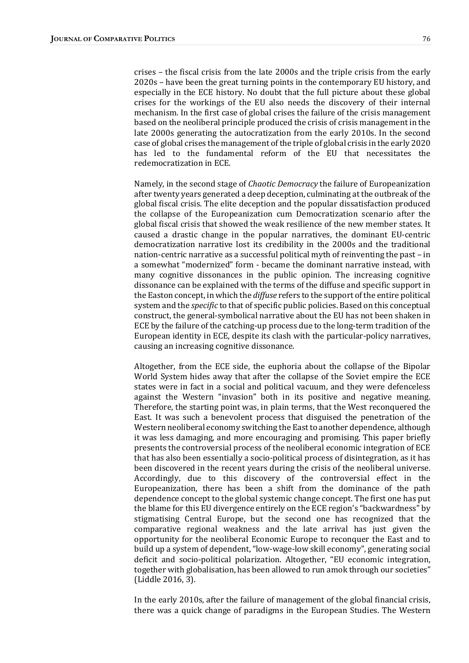crises – the fiscal crisis from the late  $2000s$  and the triple crisis from the early 2020s – have been the great turning points in the contemporary EU history, and especially in the ECE history. No doubt that the full picture about these global crises for the workings of the EU also needs the discovery of their internal mechanism. In the first case of global crises the failure of the crisis management based on the neoliberal principle produced the crisis of crisis management in the late 2000s generating the autocratization from the early 2010s. In the second case of global crises the management of the triple of global crisis in the early 2020 has led to the fundamental reform of the EU that necessitates the redemocratization in ECE.

Namely, in the second stage of *Chaotic Democracy* the failure of Europeanization after twenty years generated a deep deception, culminating at the outbreak of the global fiscal crisis. The elite deception and the popular dissatisfaction produced the collapse of the Europeanization cum Democratization scenario after the global fiscal crisis that showed the weak resilience of the new member states. It caused a drastic change in the popular narratives, the dominant EU-centric democratization narrative lost its credibility in the 2000s and the traditional nation-centric narrative as a successful political myth of reinventing the past - in a somewhat "modernized" form - became the dominant narrative instead, with many cognitive dissonances in the public opinion. The increasing cognitive dissonance can be explained with the terms of the diffuse and specific support in the Easton concept, in which the *diffuse* refers to the support of the entire political system and the *specific* to that of specific public policies. Based on this conceptual construct, the general-symbolical narrative about the EU has not been shaken in ECE by the failure of the catching-up process due to the long-term tradition of the European identity in ECE, despite its clash with the particular-policy narratives, causing an increasing cognitive dissonance.

Altogether, from the ECE side, the euphoria about the collapse of the Bipolar World System hides away that after the collapse of the Soviet empire the ECE states were in fact in a social and political vacuum, and they were defenceless against the Western "invasion" both in its positive and negative meaning. Therefore, the starting point was, in plain terms, that the West reconquered the East. It was such a benevolent process that disguised the penetration of the Western neoliberal economy switching the East to another dependence, although it was less damaging, and more encouraging and promising. This paper briefly presents the controversial process of the neoliberal economic integration of ECE that has also been essentially a socio-political process of disintegration, as it has been discovered in the recent years during the crisis of the neoliberal universe. Accordingly, due to this discovery of the controversial effect in the Europeanization, there has been a shift from the dominance of the path dependence concept to the global systemic change concept. The first one has put the blame for this EU divergence entirely on the ECE region's "backwardness" by stigmatising Central Europe, but the second one has recognized that the comparative regional weakness and the late arrival has just given the opportunity for the neoliberal Economic Europe to reconquer the East and to build up a system of dependent, "low-wage-low skill economy", generating social deficit and socio-political polarization. Altogether, "EU economic integration, together with globalisation, has been allowed to run amok through our societies" (Liddle 2016, 3).

In the early 2010s, after the failure of management of the global financial crisis, there was a quick change of paradigms in the European Studies. The Western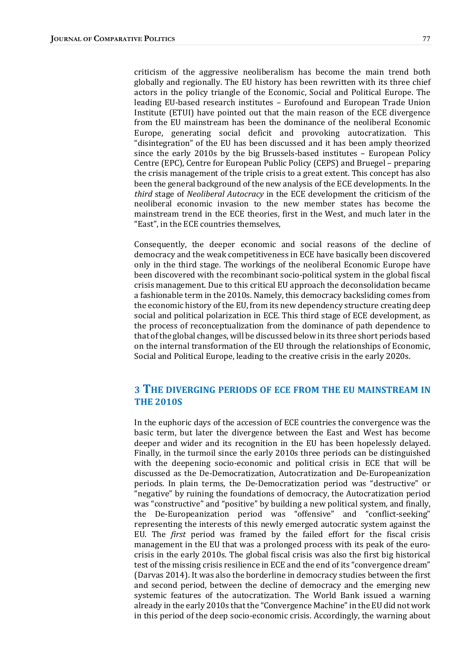criticism of the aggressive neoliberalism has become the main trend both globally and regionally. The EU history has been rewritten with its three chief actors in the policy triangle of the Economic, Social and Political Europe. The leading EU-based research institutes – Eurofound and European Trade Union Institute (ETUI) have pointed out that the main reason of the ECE divergence from the EU mainstream has been the dominance of the neoliberal Economic Europe, generating social deficit and provoking autocratization. This "disintegration" of the EU has been discussed and it has been amply theorized since the early  $2010s$  by the big Brussels-based institutes  $-$  European Policy Centre (EPC), Centre for European Public Policy (CEPS) and Bruegel – preparing the crisis management of the triple crisis to a great extent. This concept has also been the general background of the new analysis of the ECE developments. In the third stage of *Neoliberal Autocracy* in the ECE development the criticism of the neoliberal economic invasion to the new member states has become the mainstream trend in the ECE theories, first in the West, and much later in the "East", in the ECE countries themselves,

Consequently, the deeper economic and social reasons of the decline of democracy and the weak competitiveness in ECE have basically been discovered only in the third stage. The workings of the neoliberal Economic Europe have been discovered with the recombinant socio-political system in the global fiscal crisis management. Due to this critical EU approach the deconsolidation became a fashionable term in the 2010s. Namely, this democracy backsliding comes from the economic history of the EU, from its new dependency structure creating deep social and political polarization in ECE. This third stage of ECE development, as the process of reconceptualization from the dominance of path dependence to that of the global changes, will be discussed below in its three short periods based on the internal transformation of the EU through the relationships of Economic, Social and Political Europe, leading to the creative crisis in the early 2020s.

#### 3 THE DIVERGING PERIODS OF ECE FROM THE EU MAINSTREAM IN **THE 2010S**

In the euphoric days of the accession of ECE countries the convergence was the basic term, but later the divergence between the East and West has become deeper and wider and its recognition in the EU has been hopelessly delayed. Finally, in the turmoil since the early 2010s three periods can be distinguished with the deepening socio-economic and political crisis in ECE that will be discussed as the De-Democratization, Autocratization and De-Europeanization periods. In plain terms, the De-Democratization period was "destructive" or "negative" by ruining the foundations of democracy, the Autocratization period was "constructive" and "positive" by building a new political system, and finally, the De-Europeanization period was "offensive" and "conflict-seeking" representing the interests of this newly emerged autocratic system against the EU. The *first* period was framed by the failed effort for the fiscal crisis management in the EU that was a prolonged process with its peak of the eurocrisis in the early 2010s. The global fiscal crisis was also the first big historical test of the missing crisis resilience in ECE and the end of its "convergence dream" (Darvas 2014). It was also the borderline in democracy studies between the first and second period, between the decline of democracy and the emerging new systemic features of the autocratization. The World Bank issued a warning already in the early 2010s that the "Convergence Machine" in the EU did not work in this period of the deep socio-economic crisis. Accordingly, the warning about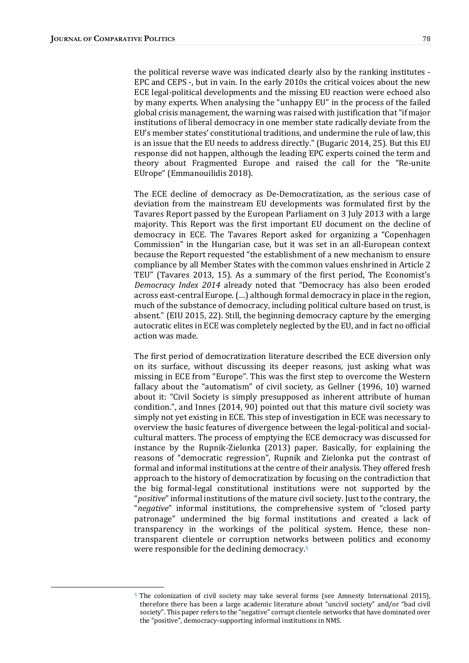the political reverse wave was indicated clearly also by the ranking institutes -EPC and CEPS -, but in vain. In the early 2010s the critical voices about the new ECE legal-political developments and the missing EU reaction were echoed also by many experts. When analysing the "unhappy EU" in the process of the failed global crisis management, the warning was raised with justification that "if major institutions of liberal democracy in one member state radically deviate from the EU's member states' constitutional traditions, and undermine the rule of law, this is an issue that the EU needs to address directly." (Bugaric 2014, 25). But this EU response did not happen, although the leading EPC experts coined the term and theory about Fragmented Europe and raised the call for the "Re-unite EUrope" (Emmanouilidis 2018).

The ECE decline of democracy as De-Democratization, as the serious case of deviation from the mainstream EU developments was formulated first by the Tavares Report passed by the European Parliament on 3 July 2013 with a large majority. This Report was the first important EU document on the decline of democracy in ECE. The Tavares Report asked for organizing a "Copenhagen Commission" in the Hungarian case, but it was set in an all-European context because the Report requested "the establishment of a new mechanism to ensure compliance by all Member States with the common values enshrined in Article 2 TEU" (Tavares 2013, 15). As a summary of the first period, The Economist's Democracy Index 2014 already noted that "Democracy has also been eroded across east-central Europe.  $(...)$  although formal democracy in place in the region, much of the substance of democracy, including political culture based on trust, is absent." (EIU 2015, 22). Still, the beginning democracy capture by the emerging autocratic elites in ECE was completely neglected by the EU, and in fact no official action was made.

The first period of democratization literature described the ECE diversion only on its surface, without discussing its deeper reasons, just asking what was missing in ECE from "Europe". This was the first step to overcome the Western fallacy about the "automatism" of civil society, as Gellner  $(1996, 10)$  warned about it: "Civil Society is simply presupposed as inherent attribute of human condition.", and Innes (2014, 90) pointed out that this mature civil society was simply not yet existing in ECE. This step of investigation in ECE was necessary to overview the basic features of divergence between the legal-political and socialcultural matters. The process of emptying the ECE democracy was discussed for instance by the Rupnik-Zielonka  $(2013)$  paper. Basically, for explaining the reasons of "democratic regression", Rupnik and Zielonka put the contrast of formal and informal institutions at the centre of their analysis. They offered fresh approach to the history of democratization by focusing on the contradiction that the big formal-legal constitutional institutions were not supported by the "positive" informal institutions of the mature civil society. Just to the contrary, the "negative" informal institutions, the comprehensive system of "closed party patronage" undermined the big formal institutions and created a lack of transparency in the workings of the political system. Hence, these nontransparent clientele or corruption networks between politics and economy were responsible for the declining democracy.<sup>5</sup>

<sup>&</sup>lt;sup>5</sup> The colonization of civil society may take several forms (see Amnesty International 2015), therefore there has been a large academic literature about "uncivil society" and/or "bad civil society". This paper refers to the "negative" corrupt clientele networks that have dominated over the "positive", democracy-supporting informal institutions in NMS.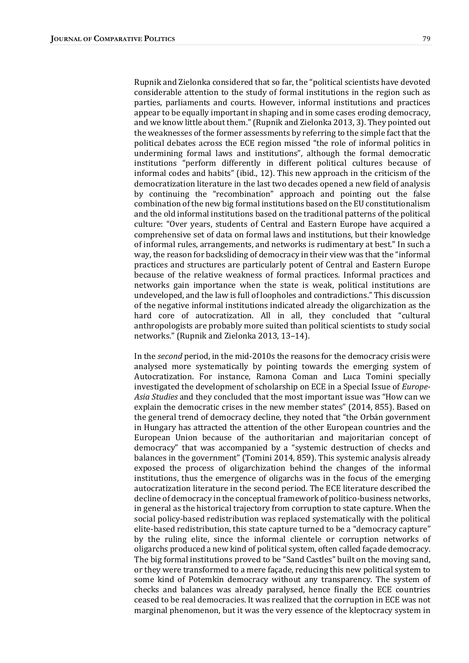Rupnik and Zielonka considered that so far, the "political scientists have devoted considerable attention to the study of formal institutions in the region such as parties, parliaments and courts. However, informal institutions and practices appear to be equally important in shaping and in some cases eroding democracy, and we know little about them." (Rupnik and Zielonka 2013, 3). They pointed out the weaknesses of the former assessments by referring to the simple fact that the political debates across the ECE region missed "the role of informal politics in undermining formal laws and institutions", although the formal democratic institutions "perform differently in different political cultures because of informal codes and habits" (ibid., 12). This new approach in the criticism of the democratization literature in the last two decades opened a new field of analysis by continuing the "recombination" approach and pointing out the false combination of the new big formal institutions based on the EU constitutionalism and the old informal institutions based on the traditional patterns of the political culture: "Over years, students of Central and Eastern Europe have acquired a comprehensive set of data on formal laws and institutions, but their knowledge of informal rules, arrangements, and networks is rudimentary at best." In such a way, the reason for backsliding of democracy in their view was that the "informal practices and structures are particularly potent of Central and Eastern Europe because of the relative weakness of formal practices. Informal practices and networks gain importance when the state is weak, political institutions are undeveloped, and the law is full of loopholes and contradictions." This discussion of the negative informal institutions indicated already the oligarchization as the hard core of autocratization. All in all, they concluded that "cultural anthropologists are probably more suited than political scientists to study social networks." (Rupnik and Zielonka 2013, 13-14).

In the second period, in the mid-2010s the reasons for the democracy crisis were analysed more systematically by pointing towards the emerging system of Autocratization. For instance, Ramona Coman and Luca Tomini specially investigated the development of scholarship on ECE in a Special Issue of *Europe*-Asia Studies and they concluded that the most important issue was "How can we explain the democratic crises in the new member states" (2014, 855). Based on the general trend of democracy decline, they noted that "the Orbán government" in Hungary has attracted the attention of the other European countries and the European Union because of the authoritarian and majoritarian concept of democracy" that was accompanied by a "systemic destruction of checks and balances in the government" (Tomini 2014, 859). This systemic analysis already exposed the process of oligarchization behind the changes of the informal institutions, thus the emergence of oligarchs was in the focus of the emerging autocratization literature in the second period. The ECE literature described the decline of democracy in the conceptual framework of politico-business networks, in general as the historical trajectory from corruption to state capture. When the social policy-based redistribution was replaced systematically with the political elite-based redistribution, this state capture turned to be a "democracy capture" by the ruling elite, since the informal clientele or corruption networks of oligarchs produced a new kind of political system, often called façade democracy. The big formal institutions proved to be "Sand Castles" built on the moving sand, or they were transformed to a mere façade, reducing this new political system to some kind of Potemkin democracy without any transparency. The system of checks and balances was already paralysed, hence finally the ECE countries ceased to be real democracies. It was realized that the corruption in ECE was not marginal phenomenon, but it was the very essence of the kleptocracy system in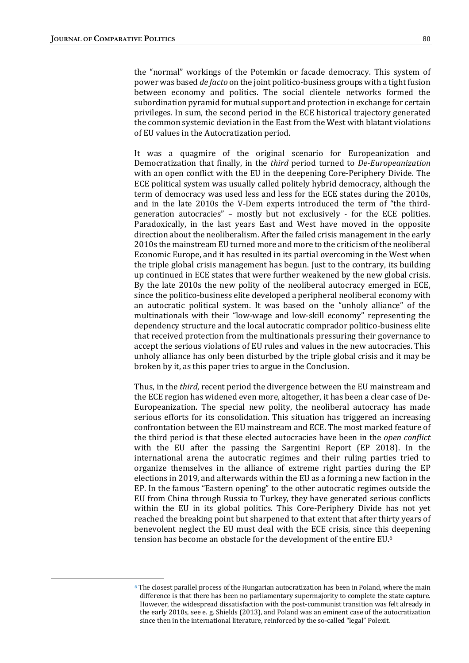the "normal" workings of the Potemkin or facade democracy. This system of power was based *de facto* on the joint politico-business groups with a tight fusion between economy and politics. The social clientele networks formed the subordination pyramid for mutual support and protection in exchange for certain privileges. In sum, the second period in the ECE historical trajectory generated the common systemic deviation in the East from the West with blatant violations of EU values in the Autocratization period.

It was a quagmire of the original scenario for Europeanization and Democratization that finally, in the *third* period turned to *De-Europeanization* with an open conflict with the EU in the deepening Core-Periphery Divide. The ECE political system was usually called politely hybrid democracy, although the term of democracy was used less and less for the ECE states during the 2010s, and in the late 2010s the V-Dem experts introduced the term of "the thirdgeneration autocracies"  $-$  mostly but not exclusively  $-$  for the ECE polities. Paradoxically, in the last years East and West have moved in the opposite direction about the neoliberalism. After the failed crisis management in the early 2010s the mainstream EU turned more and more to the criticism of the neoliberal Economic Europe, and it has resulted in its partial overcoming in the West when the triple global crisis management has begun. Just to the contrary, its building up continued in ECE states that were further weakened by the new global crisis. By the late 2010s the new polity of the neoliberal autocracy emerged in ECE, since the politico-business elite developed a peripheral neoliberal economy with an autocratic political system. It was based on the "unholy alliance" of the multinationals with their "low-wage and low-skill economy" representing the dependency structure and the local autocratic comprador politico-business elite that received protection from the multinationals pressuring their governance to accept the serious violations of EU rules and values in the new autocracies. This unholy alliance has only been disturbed by the triple global crisis and it may be broken by it, as this paper tries to argue in the Conclusion.

Thus, in the *third*, recent period the divergence between the EU mainstream and the ECE region has widened even more, altogether, it has been a clear case of De-Europeanization. The special new polity, the neoliberal autocracy has made serious efforts for its consolidation. This situation has triggered an increasing confrontation between the EU mainstream and ECE. The most marked feature of the third period is that these elected autocracies have been in the *open conflict* with the EU after the passing the Sargentini Report  $[EP 2018]$ . In the international arena the autocratic regimes and their ruling parties tried to organize themselves in the alliance of extreme right parties during the EP elections in 2019, and afterwards within the EU as a forming a new faction in the EP. In the famous "Eastern opening" to the other autocratic regimes outside the EU from China through Russia to Turkey, they have generated serious conflicts within the EU in its global politics. This Core-Periphery Divide has not yet reached the breaking point but sharpened to that extent that after thirty years of benevolent neglect the EU must deal with the ECE crisis, since this deepening tension has become an obstacle for the development of the entire EU.<sup>6</sup>

 $6$  The closest parallel process of the Hungarian autocratization has been in Poland, where the main difference is that there has been no parliamentary supermajority to complete the state capture. However, the widespread dissatisfaction with the post-communist transition was felt already in the early 2010s, see e. g. Shields (2013), and Poland was an eminent case of the autocratization since then in the international literature, reinforced by the so-called "legal" Polexit.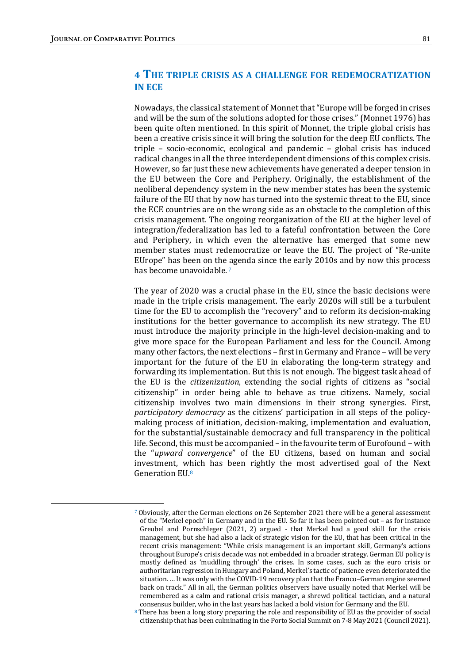## 4 THE TRIPLE CRISIS AS A CHALLENGE FOR REDEMOCRATIZATION **IN ECE**

Nowadays, the classical statement of Monnet that "Europe will be forged in crises" and will be the sum of the solutions adopted for those crises." (Monnet 1976) has been quite often mentioned. In this spirit of Monnet, the triple global crisis has been a creative crisis since it will bring the solution for the deep EU conflicts. The triple - socio-economic, ecological and pandemic - global crisis has induced radical changes in all the three interdependent dimensions of this complex crisis. However, so far just these new achievements have generated a deeper tension in the EU between the Core and Periphery. Originally, the establishment of the neoliberal dependency system in the new member states has been the systemic failure of the EU that by now has turned into the systemic threat to the EU, since the ECE countries are on the wrong side as an obstacle to the completion of this crisis management. The ongoing reorganization of the EU at the higher level of integration/federalization has led to a fateful confrontation between the Core and Periphery, in which even the alternative has emerged that some new member states must redemocratize or leave the EU. The project of "Re-unite EUrope" has been on the agenda since the early 2010s and by now this process has become unavoidable.<sup>7</sup>

The year of 2020 was a crucial phase in the EU, since the basic decisions were made in the triple crisis management. The early 2020s will still be a turbulent time for the EU to accomplish the "recovery" and to reform its decision-making institutions for the better governance to accomplish its new strategy. The EU must introduce the majority principle in the high-level decision-making and to give more space for the European Parliament and less for the Council. Among many other factors, the next elections - first in Germany and France - will be very important for the future of the EU in elaborating the long-term strategy and forwarding its implementation. But this is not enough. The biggest task ahead of the EU is the *citizenization*, extending the social rights of citizens as "social citizenship" in order being able to behave as true citizens. Namely, social citizenship involves two main dimensions in their strong synergies. First, participatory democracy as the citizens' participation in all steps of the policymaking process of initiation, decision-making, implementation and evaluation, for the substantial/sustainable democracy and full transparency in the political life. Second, this must be accompanied  $-$  in the favourite term of Eurofound  $-$  with the "upward convergence" of the EU citizens, based on human and social investment, which has been rightly the most advertised goal of the Next Generation EU.<sup>8</sup>

 $7$  Obviously, after the German elections on 26 September 2021 there will be a general assessment of the "Merkel epoch" in Germany and in the EU. So far it has been pointed out - as for instance Greubel and Pornschleger (2021, 2) argued - that Merkel had a good skill for the crisis management, but she had also a lack of strategic vision for the EU, that has been critical in the recent crisis management: "While crisis management is an important skill, Germany's actions throughout Europe's crisis decade was not embedded in a broader strategy. German EU policy is mostly defined as 'muddling through' the crises. In some cases, such as the euro crisis or authoritarian regression in Hungary and Poland, Merkel's tactic of patience even deteriorated the situation. ... It was only with the COVID-19 recovery plan that the Franco–German engine seemed back on track." All in all, the German politics observers have usually noted that Merkel will be remembered as a calm and rational crisis manager, a shrewd political tactician, and a natural consensus builder, who in the last years has lacked a bold vision for Germany and the EU.

<sup>&</sup>lt;sup>8</sup> There has been a long story preparing the role and responsibility of EU as the provider of social citizenship that has been culminating in the Porto Social Summit on 7-8 May 2021 (Council 2021).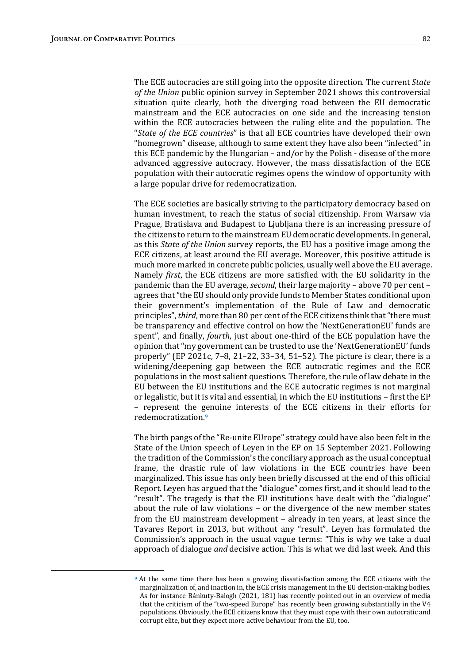The ECE autocracies are still going into the opposite direction. The current *State* of the Union public opinion survey in September 2021 shows this controversial situation quite clearly, both the diverging road between the EU democratic mainstream and the ECE autocracies on one side and the increasing tension within the ECE autocracies between the ruling elite and the population. The "State of the ECE countries" is that all ECE countries have developed their own "homegrown" disease, although to same extent they have also been "infected" in this ECE pandemic by the Hungarian  $-$  and/or by the Polish  $-$  disease of the more advanced aggressive autocracy. However, the mass dissatisfaction of the ECE population with their autocratic regimes opens the window of opportunity with a large popular drive for redemocratization.

The ECE societies are basically striving to the participatory democracy based on human investment, to reach the status of social citizenship. From Warsaw via Prague, Bratislava and Budapest to Ljubljana there is an increasing pressure of the citizens to return to the mainstream EU democratic developments. In general, as this *State of the Union* survey reports, the EU has a positive image among the ECE citizens, at least around the EU average. Moreover, this positive attitude is much more marked in concrete public policies, usually well above the EU average. Namely *first*, the ECE citizens are more satisfied with the EU solidarity in the pandemic than the EU average, second, their large majority – above 70 per cent – agrees that "the EU should only provide funds to Member States conditional upon their government's implementation of the Rule of Law and democratic principles", *third*, more than 80 per cent of the ECE citizens think that "there must be transparency and effective control on how the 'NextGenerationEU' funds are spent", and finally, *fourth*, just about one-third of the ECE population have the opinion that "my government can be trusted to use the 'NextGenerationEU' funds properly" (EP 2021c, 7-8, 21-22, 33-34, 51-52). The picture is clear, there is a widening/deepening gap between the ECE autocratic regimes and the ECE populations in the most salient questions. Therefore, the rule of law debate in the EU between the EU institutions and the ECE autocratic regimes is not marginal or legalistic, but it is vital and essential, in which the EU institutions – first the EP – represent the genuine interests of the ECE citizens in their efforts for redemocratization.9

The birth pangs of the "Re-unite EUrope" strategy could have also been felt in the State of the Union speech of Leyen in the EP on 15 September 2021. Following the tradition of the Commission's the conciliary approach as the usual conceptual frame, the drastic rule of law violations in the ECE countries have been marginalized. This issue has only been briefly discussed at the end of this official Report. Leyen has argued that the "dialogue" comes first, and it should lead to the "result". The tragedy is that the EU institutions have dealt with the "dialogue" about the rule of law violations  $-$  or the divergence of the new member states from the EU mainstream development – already in ten years, at least since the Tavares Report in 2013, but without any "result". Leyen has formulated the Commission's approach in the usual vague terms: "This is why we take a dual approach of dialogue *and* decisive action. This is what we did last week. And this

<sup>&</sup>lt;sup>9</sup> At the same time there has been a growing dissatisfaction among the ECE citizens with the marginalization of, and inaction in, the ECE crisis management in the EU decision-making bodies. As for instance Bánkuty-Balogh (2021, 181) has recently pointed out in an overview of media that the criticism of the "two-speed Europe" has recently been growing substantially in the V4 populations. Obviously, the ECE citizens know that they must cope with their own autocratic and corrupt elite, but they expect more active behaviour from the EU, too.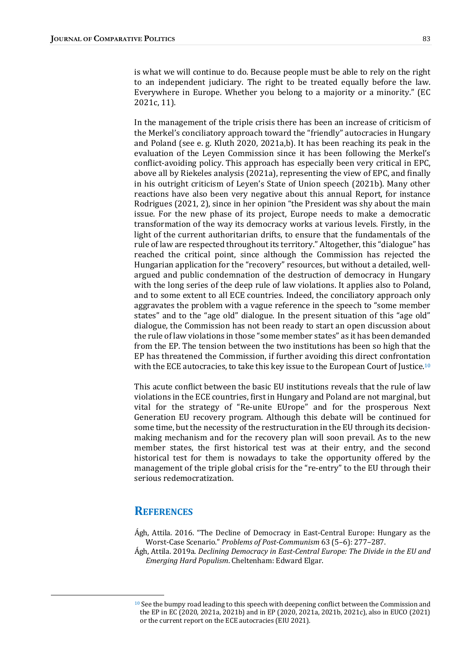is what we will continue to do. Because people must be able to rely on the right to an independent judiciary. The right to be treated equally before the law. Everywhere in Europe. Whether you belong to a majority or a minority." (EC 2021c, 11).

In the management of the triple crisis there has been an increase of criticism of the Merkel's conciliatory approach toward the "friendly" autocracies in Hungary and Poland (see e.g. Kluth 2020, 2021a,b). It has been reaching its peak in the evaluation of the Leyen Commission since it has been following the Merkel's conflict-avoiding policy. This approach has especially been very critical in EPC, above all by Riekeles analysis (2021a), representing the view of EPC, and finally in his outright criticism of Leyen's State of Union speech (2021b). Many other reactions have also been very negative about this annual Report, for instance Rodrigues (2021, 2), since in her opinion "the President was shy about the main issue. For the new phase of its project, Europe needs to make a democratic transformation of the way its democracy works at various levels. Firstly, in the light of the current authoritarian drifts, to ensure that the fundamentals of the rule of law are respected throughout its territory." Altogether, this "dialogue" has reached the critical point, since although the Commission has rejected the Hungarian application for the "recovery" resources, but without a detailed, wellargued and public condemnation of the destruction of democracy in Hungary with the long series of the deep rule of law violations. It applies also to Poland, and to some extent to all ECE countries. Indeed, the conciliatory approach only aggravates the problem with a vague reference in the speech to "some member states" and to the "age old" dialogue. In the present situation of this "age old" dialogue, the Commission has not been ready to start an open discussion about the rule of law violations in those "some member states" as it has been demanded from the EP. The tension between the two institutions has been so high that the EP has threatened the Commission, if further avoiding this direct confrontation with the ECE autocracies, to take this key issue to the European Court of Justice.<sup>10</sup>

This acute conflict between the basic EU institutions reveals that the rule of law violations in the ECE countries, first in Hungary and Poland are not marginal, but vital for the strategy of "Re-unite EUrope" and for the prosperous Next Generation EU recovery program. Although this debate will be continued for some time, but the necessity of the restructuration in the EU through its decisionmaking mechanism and for the recovery plan will soon prevail. As to the new member states, the first historical test was at their entry, and the second historical test for them is nowadays to take the opportunity offered by the management of the triple global crisis for the "re-entry" to the EU through their serious redemocratization.

### **REFERENCES**

- Ágh, Attila. 2016. "The Decline of Democracy in East-Central Europe: Hungary as the Worst-Case Scenario." Problems of Post-Communism 63 (5-6): 277-287.
- Agh, Attila. 2019a. Declining Democracy in East-Central Europe: The Divide in the EU and Emerging Hard Populism. Cheltenham: Edward Elgar.

<sup>&</sup>lt;sup>10</sup> See the bumpy road leading to this speech with deepening conflict between the Commission and the EP in EC (2020, 2021a, 2021b) and in EP (2020, 2021a, 2021b, 2021c), also in EUCO (2021) or the current report on the ECE autocracies (EIU 2021).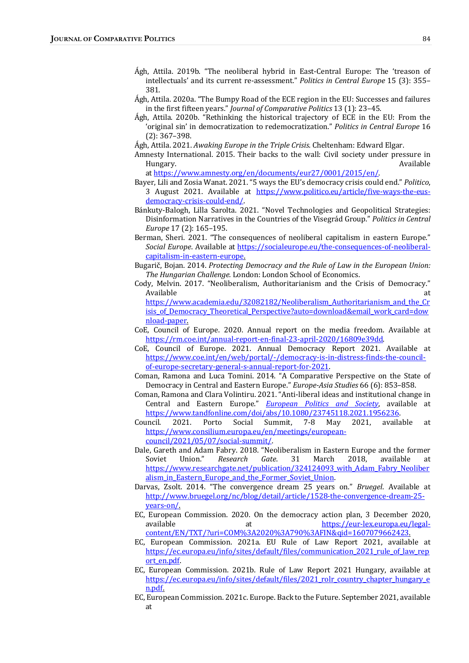- Ágh, Attila. 2019b. "The neoliberal hybrid in East-Central Europe: The 'treason of intellectuals' and its current re-assessment." Politics in Central Europe 15 (3): 355-381.
- Ágh, Attila. 2020a. "The Bumpy Road of the ECE region in the EU: Successes and failures in the first fifteen years." *Journal of Comparative Politics* 13 (1): 23-45.
- Ágh, Attila. 2020b. "Rethinking the historical trajectory of ECE in the EU: From the 'original sin' in democratization to redemocratization." Politics in Central Europe 16  $(2): 367 - 398.$
- Ágh, Attila. 2021. Awaking Europe in the Triple Crisis. Cheltenham: Edward Elgar.
- Amnesty International. 2015. Their backs to the wall: Civil society under pressure in Hungary. Available

at https://www.amnesty.org/en/documents/eur27/0001/2015/en/.

- Bayer, Lili and Zosia Wanat. 2021. "5 ways the EU's democracy crisis could end." Politico, 3 August 2021. Available at https://www.politico.eu/article/five-ways-the-eusdemocracy-crisis-could-end/.
- Bánkuty-Balogh, Lilla Sarolta. 2021. "Novel Technologies and Geopolitical Strategies: Disinformation Narratives in the Countries of the Visegrád Group." Politics in Central Europe 17 (2): 165-195.
- Berman, Sheri. 2021. "The consequences of neoliberal capitalism in eastern Europe." Social Europe. Available at https://socialeurope.eu/the-consequences-of-neoliberalcapitalism-in-eastern-europe.
- Bugarič, Bojan. 2014. Protecting Democracy and the Rule of Law in the European Union: The Hungarian Challenge. London: London School of Economics.
- Cody, Melvin. 2017. "Neoliberalism, Authoritarianism and the Crisis of Democracy." Available and a state of the state of the state of the state of the state of the state of the state of the state of the state of the state of the state of the state of the state of the state of the state of the state of th

https://www.academia.edu/32082182/Neoliberalism\_Authoritarianism\_and\_the\_Cr isis of Democracy Theoretical Perspective?auto=download&email work card=dow nload-paper.

- CoE, Council of Europe. 2020. Annual report on the media freedom. Available at https://rm.coe.int/annual-report-en-final-23-april-2020/16809e39dd.
- CoE, Council of Europe. 2021. Annual Democracy Report 2021. Available at https://www.coe.int/en/web/portal/-/democracy-is-in-distress-finds-the-councilof-europe-secretary-general-s-annual-report-for-2021.

Coman, Ramona and Luca Tomini. 2014. "A Comparative Perspective on the State of Democracy in Central and Eastern Europe." Europe-Asia Studies 66 (6): 853-858.

- Coman, Ramona and Clara Volintiru. 2021. "Anti-liberal ideas and institutional change in Central and Eastern Europe." European Politics and Society, available at https://www.tandfonline.com/doi/abs/10.1080/23745118.2021.1956236.
- Council. 2021. Porto Social Summit, 7-8 May 2021, available at https://www.consilium.europa.eu/en/meetings/europeancouncil/2021/05/07/social-summit/.
- Dale, Gareth and Adam Fabry. 2018. "Neoliberalism in Eastern Europe and the former Soviet Union." Research Gate. 31 March 2018, available at https://www.researchgate.net/publication/324124093\_with\_Adam\_Fabry\_Neoliber alism in Eastern Europe and the Former Soviet Union.
- Darvas, Zsolt. 2014. "The convergence dream 25 years on." Bruegel. Available at http://www.bruegel.org/nc/blog/detail/article/1528-the-convergence-dream-25 years-on/.
- EC, European Commission. 2020. On the democracy action plan, 3 December 2020, available at at https://eur-lex.europa.eu/legalcontent/EN/TXT/?uri=COM%3A2020%3A790%3AFIN&qid=1607079662423.
- EC, European Commission. 2021a. EU Rule of Law Report 2021, available at https://ec.europa.eu/info/sites/default/files/communication\_2021\_rule\_of\_law\_rep ort\_en.pdf.
- EC, European Commission. 2021b. Rule of Law Report 2021 Hungary, available at https://ec.europa.eu/info/sites/default/files/2021\_rolr\_country\_chapter\_hungary\_e n.pdf.
- EC, European Commission. 2021c. Europe. Back to the Future. September 2021, available at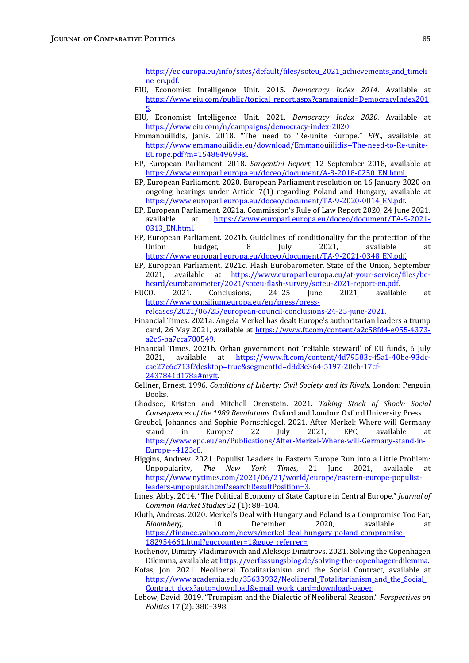https://ec.europa.eu/info/sites/default/files/soteu\_2021\_achievements\_and\_timeli ne\_en.pdf.

- EIU, Economist Intelligence Unit. 2015. Democracy Index 2014. Available at https://www.eiu.com/public/topical\_report.aspx?campaignid=DemocracyIndex201 5.
- EIU, Economist Intelligence Unit. 2021. Democracy Index 2020. Available at https://www.eiu.com/n/campaigns/democracy-index-2020.
- Emmanouilidis, Janis. 2018. "The need to 'Re-unite Europe." EPC, available at https://www.emmanouilidis.eu/download/Emmanouiilidis--The-need-to-Re-unite-EUrope.pdf?m=1548849699&.
- EP, European Parliament. 2018. Sargentini Report, 12 September 2018, available at https://www.europarl.europa.eu/doceo/document/A-8-2018-0250\_EN.html.
- EP, European Parliament. 2020. European Parliament resolution on 16 January 2020 on ongoing hearings under Article  $7(1)$  regarding Poland and Hungary, available at https://www.europarl.europa.eu/doceo/document/TA-9-2020-0014\_EN.pdf.
- EP, European Parliament. 2021a. Commission's Rule of Law Report 2020, 24 June 2021, available at https://www.europarl.europa.eu/doceo/document/TA-9-2021-0313\_EN.html.
- EP, European Parliament. 2021b. Guidelines of conditionality for the protection of the Union budget, 8 July 2021, available at https://www.europarl.europa.eu/doceo/document/TA-9-2021-0348\_EN.pdf.
- EP, European Parliament. 2021c. Flash Eurobarometer, State of the Union, September 2021, available at https://www.europarl.europa.eu/at-your-service/files/beheard/eurobarometer/2021/soteu-flash-survey/soteu-2021-report-en.pdf.
- EUCO. 2021. Conclusions, 24–25 June 2021, available at https://www.consilium.europa.eu/en/press/pressreleases/2021/06/25/european-council-conclusions-24-25-june-2021.
- Financial Times. 2021a. Angela Merkel has dealt Europe's authoritarian leaders a trump card, 26 May 2021, available at https://www.ft.com/content/a2c58fd4-e055-4373a2c6-ba7cca780549.
- Financial Times. 2021b. Orban government not 'reliable steward' of EU funds, 6 July 2021, available at https://www.ft.com/content/4d79583c-f5a1-40be-93dccae27e6c713f?desktop=true&segmentId=d8d3e364-5197-20eb-17cf-2437841d178a#myft.
- Gellner, Ernest. 1996. Conditions of Liberty: Civil Society and its Rivals. London: Penguin Books.
- Ghodsee, Kristen and Mitchell Orenstein. 2021. Taking Stock of Shock: Social Consequences of the 1989 Revolutions. Oxford and London: Oxford University Press.
- Greubel, Johannes and Sophie Pornschlegel. 2021. After Merkel: Where will Germany stand in Europe? 22 July 2021, EPC, available at https://www.epc.eu/en/Publications/After-Merkel-Where-will-Germany-stand-in-Europe~4123c8.
- Higgins, Andrew. 2021. Populist Leaders in Eastern Europe Run into a Little Problem: Unpopularity, The New York Times, 21 June 2021, available at https://www.nytimes.com/2021/06/21/world/europe/eastern-europe-populistleaders-unpopular.html?searchResultPosition=3.
- Innes, Abby. 2014. "The Political Economy of State Capture in Central Europe." Journal of Common Market Studies 52 (1): 88-104.
- Kluth, Andreas. 2020. Merkel's Deal with Hungary and Poland Is a Compromise Too Far, Bloomberg. 10 December 2020, available at https://finance.yahoo.com/news/merkel-deal-hungary-poland-compromise-182954661.html?guccounter=1&guce\_referrer=.
- Kochenov, Dimitry Vladimirovich and Aleksejs Dimitrovs. 2021. Solving the Copenhagen Dilemma, available at https://verfassungsblog.de/solving-the-copenhagen-dilemma.
- Kofas, Jon. 2021. Neoliberal Totalitarianism and the Social Contract, available at https://www.academia.edu/35633932/Neoliberal\_Totalitarianism\_and\_the\_Social\_ Contract docx?auto=download&email work card=download-paper.
- Lebow, David. 2019. "Trumpism and the Dialectic of Neoliberal Reason." Perspectives on Politics 17 (2): 380-398.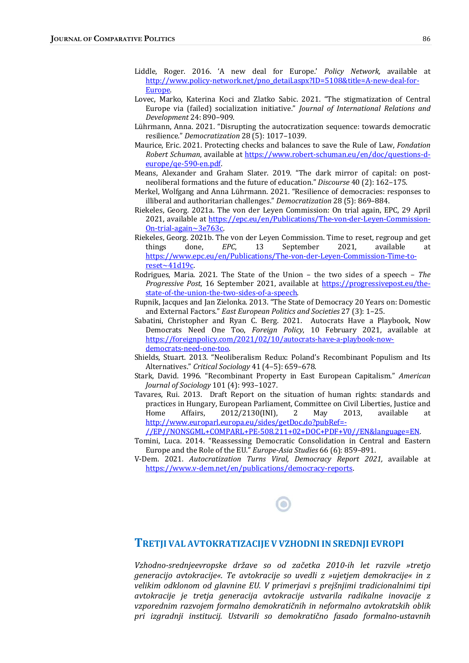- Liddle, Roger. 2016. 'A new deal for Europe.' Policy Network, available at http://www.policy-network.net/pno\_detail.aspx?ID=5108&title=A-new-deal-for-Europe.
- Lovec, Marko, Katerina Koci and Zlatko Sabic. 2021. "The stigmatization of Central Europe via (failed) socialization initiative." Journal of International Relations and Development 24: 890–909.
- Lührmann, Anna. 2021. "Disrupting the autocratization sequence: towards democratic resilience." Democratization 28 (5): 1017-1039.
- Maurice, Eric. 2021. Protecting checks and balances to save the Rule of Law, Fondation Robert Schuman, available at https://www.robert-schuman.eu/en/doc/questions-deurope/qe-590-en.pdf.
- Means, Alexander and Graham Slater. 2019. "The dark mirror of capital: on postneoliberal formations and the future of education." Discourse 40 (2): 162-175.
- Merkel, Wolfgang and Anna Lührmann. 2021. "Resilience of democracies: responses to illiberal and authoritarian challenges." Democratization 28 (5): 869-884.
- Riekeles, Georg. 2021a. The von der Leyen Commission: On trial again, EPC, 29 April 2021, available at https://epc.eu/en/Publications/The-von-der-Leyen-Commission-On-trial-again~3e763c.
- Riekeles, Georg. 2021b. The von der Leyen Commission. Time to reset, regroup and get things done, *EPC*, 13 September 2021, available at https://www.epc.eu/en/Publications/The-von-der-Leyen-Commission-Time-toreset~41d19c.
- Rodrigues, Maria. 2021. The State of the Union the two sides of a speech The Progressive Post, 16 September 2021, available at https://progressivepost.eu/thestate-of-the-union-the-two-sides-of-a-speech.
- Rupnik, Jacques and Jan Zielonka. 2013. "The State of Democracy 20 Years on: Domestic and External Factors." East European Politics and Societies 27 (3): 1–25.
- Sabatini, Christopher and Ryan C. Berg. 2021. Autocrats Have a Playbook, Now Democrats Need One Too, Foreign Policy, 10 February 2021, available at https://foreignpolicy.com/2021/02/10/autocrats-have-a-playbook-nowdemocrats-need-one-too.
- Shields, Stuart. 2013. "Neoliberalism Redux: Poland's Recombinant Populism and Its Alternatives." Critical Sociology 41 (4-5): 659-678.
- Stark, David. 1996. "Recombinant Property in East European Capitalism." American Journal of Sociology 101 (4): 993-1027.
- Tavares, Rui. 2013. Draft Report on the situation of human rights: standards and practices in Hungary, European Parliament, Committee on Civil Liberties, Justice and Home Affairs, 2012/2130(INI), 2 May 2013, available at http://www.europarl.europa.eu/sides/getDoc.do?pubRef=-

//EP//NONSGML+COMPARL+PE-508.211+02+DOC+PDF+V0//EN&language=EN. 

- Tomini, Luca. 2014. "Reassessing Democratic Consolidation in Central and Eastern Europe and the Role of the EU." Europe-Asia Studies 66 (6): 859-891.
- V-Dem. 2021. Autocratization Turns Viral, Democracy Report 2021, available at https://www.v-dem.net/en/publications/democracy-reports.

#### TRETJI VAL AVTOKRATIZACIJE V VZHODNIIN SREDNJI EVROPI

Vzhodno-srednjeevropske države so od začetka 2010-ih let razvile »tretjo generacijo avtokracije«. Te avtokracije so uvedli z »ujetjem demokracije« in z velikim odklonom od glavnine EU. V primerjavi s prejšnjimi tradicionalnimi tipi avtokracije je tretja generacija avtokracije ustvarila radikalne inovacije z vzporednim razvojem formalno demokratičnih in neformalno avtokratskih oblik pri izgradnji institucij. Ustvarili so demokratično fasado formalno-ustavnih